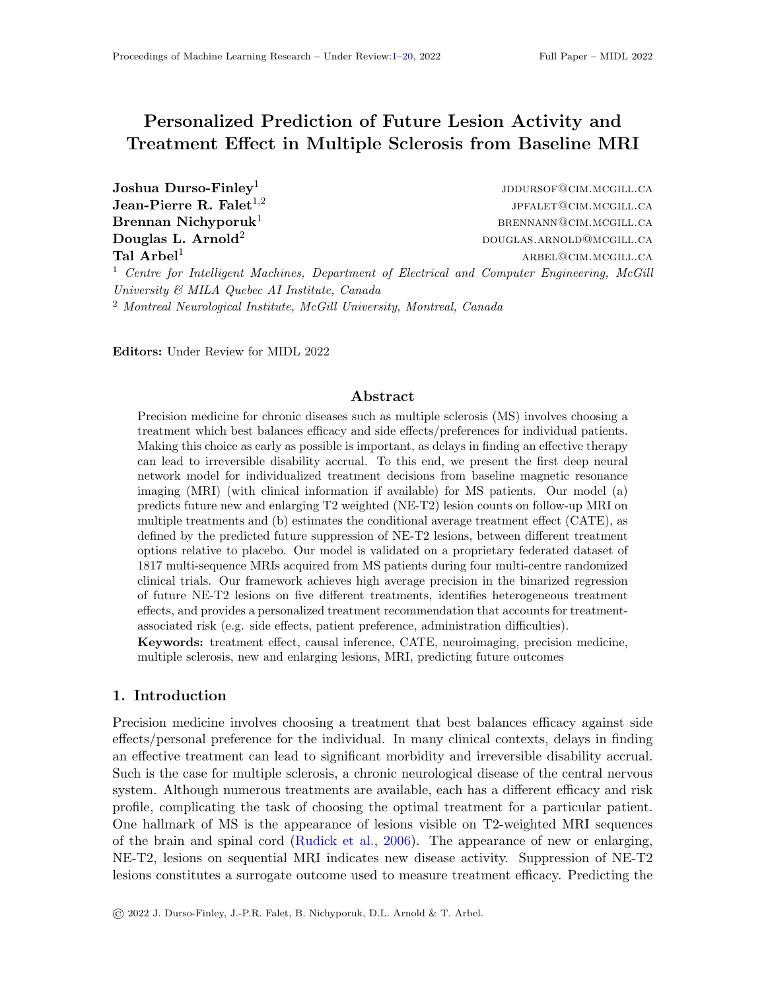# <span id="page-0-0"></span>Personalized Prediction of Future Lesion Activity and Treatment Effect in Multiple Sclerosis from Baseline MRI

Joshua Durso-Finley<sup>1</sup> Jean-Pierre R. Falet $^{1,2}$ 

jddursof@cim.mcgill.ca jpfalet@cim.mcgill.ca  $\mathbf{B}$ rennan Nichyporuk<sup>1</sup> brennann brennann brennann brennann brennann brennann brennann brennann brennann brennann brennann brennann brennann brennann brennann brennann brennann brennann brennann brennann brennann bre  $\bf{Douglas\ L.\ Arnold^2$  douglas.arnold@mcgill.ca  $\rm \bf Tal \; Arbel^1$  arbeits arbeit arbitrary and  $\rm \bf ARBEL@CIM.MCGILLCA$ <sup>1</sup> Centre for Intelligent Machines, Department of Electrical and Computer Engineering, McGill

<sup>2</sup> Montreal Neurological Institute, McGill University, Montreal, Canada

Editors: Under Review for MIDL 2022

University & MILA Quebec AI Institute, Canada

#### Abstract

Precision medicine for chronic diseases such as multiple sclerosis (MS) involves choosing a treatment which best balances efficacy and side effects/preferences for individual patients. Making this choice as early as possible is important, as delays in finding an effective therapy can lead to irreversible disability accrual. To this end, we present the first deep neural network model for individualized treatment decisions from baseline magnetic resonance imaging (MRI) (with clinical information if available) for MS patients. Our model (a) predicts future new and enlarging T2 weighted (NE-T2) lesion counts on follow-up MRI on multiple treatments and (b) estimates the conditional average treatment effect (CATE), as defined by the predicted future suppression of NE-T2 lesions, between different treatment options relative to placebo. Our model is validated on a proprietary federated dataset of 1817 multi-sequence MRIs acquired from MS patients during four multi-centre randomized clinical trials. Our framework achieves high average precision in the binarized regression of future NE-T2 lesions on five different treatments, identifies heterogeneous treatment effects, and provides a personalized treatment recommendation that accounts for treatmentassociated risk (e.g. side effects, patient preference, administration difficulties).

Keywords: treatment effect, causal inference, CATE, neuroimaging, precision medicine, multiple sclerosis, new and enlarging lesions, MRI, predicting future outcomes

#### 1. Introduction

Precision medicine involves choosing a treatment that best balances efficacy against side effects/personal preference for the individual. In many clinical contexts, delays in finding an effective treatment can lead to significant morbidity and irreversible disability accrual. Such is the case for multiple sclerosis, a chronic neurological disease of the central nervous system. Although numerous treatments are available, each has a different efficacy and risk profile, complicating the task of choosing the optimal treatment for a particular patient. One hallmark of MS is the appearance of lesions visible on T2-weighted MRI sequences of the brain and spinal cord [\(Rudick et al.,](#page-11-0) [2006\)](#page-11-0). The appearance of new or enlarging, NE-T2, lesions on sequential MRI indicates new disease activity. Suppression of NE-T2 lesions constitutes a surrogate outcome used to measure treatment efficacy. Predicting the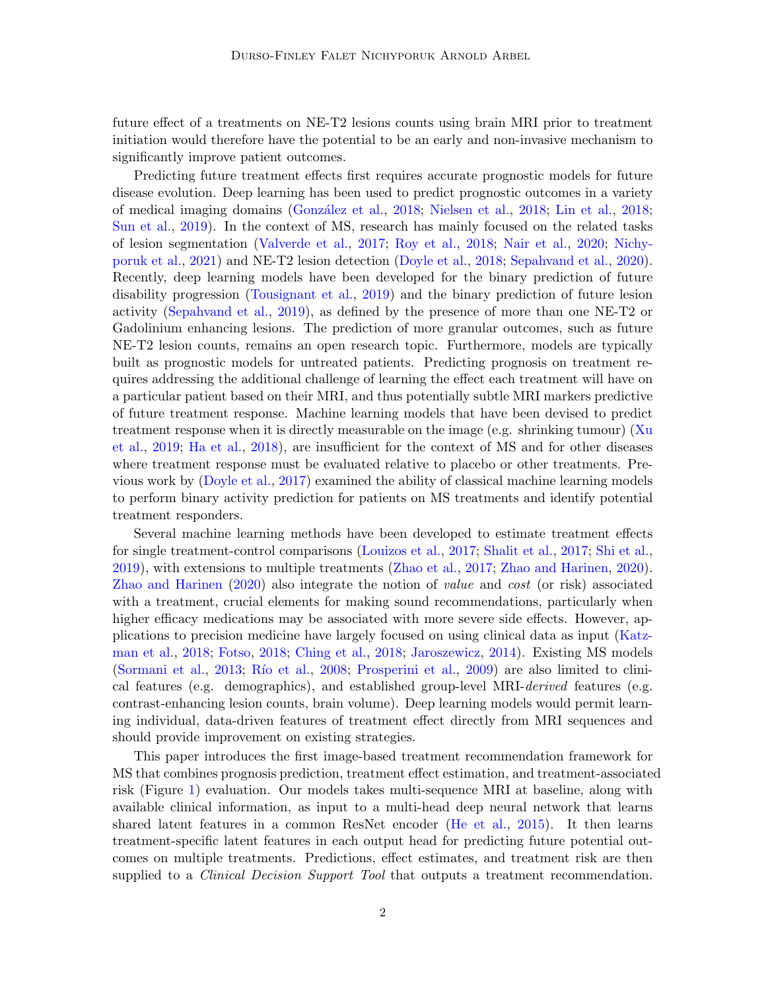future effect of a treatments on NE-T2 lesions counts using brain MRI prior to treatment initiation would therefore have the potential to be an early and non-invasive mechanism to significantly improve patient outcomes.

Predicting future treatment effects first requires accurate prognostic models for future disease evolution. Deep learning has been used to predict prognostic outcomes in a variety of medical imaging domains [\(Gonz´alez et al.,](#page-9-0) [2018;](#page-9-0) [Nielsen et al.,](#page-11-1) [2018;](#page-11-1) [Lin et al.,](#page-10-0) [2018;](#page-10-0) [Sun et al.,](#page-12-0) [2019\)](#page-12-0). In the context of MS, research has mainly focused on the related tasks of lesion segmentation [\(Valverde et al.,](#page-12-1) [2017;](#page-12-1) [Roy et al.,](#page-11-2) [2018;](#page-11-2) [Nair et al.,](#page-11-3) [2020;](#page-11-3) [Nichy](#page-11-4)[poruk et al.,](#page-11-4) [2021\)](#page-11-4) and NE-T2 lesion detection [\(Doyle et al.,](#page-8-0) [2018;](#page-8-0) [Sepahvand et al.,](#page-11-5) [2020\)](#page-11-5). Recently, deep learning models have been developed for the binary prediction of future disability progression [\(Tousignant et al.,](#page-12-2) [2019\)](#page-12-2) and the binary prediction of future lesion activity [\(Sepahvand et al.,](#page-11-6) [2019\)](#page-11-6), as defined by the presence of more than one NE-T2 or Gadolinium enhancing lesions. The prediction of more granular outcomes, such as future NE-T2 lesion counts, remains an open research topic. Furthermore, models are typically built as prognostic models for untreated patients. Predicting prognosis on treatment requires addressing the additional challenge of learning the effect each treatment will have on a particular patient based on their MRI, and thus potentially subtle MRI markers predictive of future treatment response. Machine learning models that have been devised to predict treatment response when it is directly measurable on the image (e.g. shrinking tumour) [\(Xu](#page-13-0) [et al.,](#page-13-0) [2019;](#page-13-0) [Ha et al.,](#page-9-1) [2018\)](#page-9-1), are insufficient for the context of MS and for other diseases where treatment response must be evaluated relative to placebo or other treatments. Previous work by [\(Doyle et al.,](#page-8-1) [2017\)](#page-8-1) examined the ability of classical machine learning models to perform binary activity prediction for patients on MS treatments and identify potential treatment responders.

Several machine learning methods have been developed to estimate treatment effects for single treatment-control comparisons [\(Louizos et al.,](#page-10-1) [2017;](#page-10-1) [Shalit et al.,](#page-12-3) [2017;](#page-12-3) [Shi et al.,](#page-12-4) [2019\)](#page-12-4), with extensions to multiple treatments [\(Zhao et al.,](#page-13-1) [2017;](#page-13-1) [Zhao and Harinen,](#page-13-2) [2020\)](#page-13-2). [Zhao and Harinen](#page-13-2) [\(2020\)](#page-13-2) also integrate the notion of value and cost (or risk) associated with a treatment, crucial elements for making sound recommendations, particularly when higher efficacy medications may be associated with more severe side effects. However, applications to precision medicine have largely focused on using clinical data as input [\(Katz](#page-10-2)[man et al.,](#page-10-2) [2018;](#page-10-2) [Fotso,](#page-9-2) [2018;](#page-9-2) [Ching et al.,](#page-8-2) [2018;](#page-8-2) [Jaroszewicz,](#page-10-3) [2014\)](#page-10-3). Existing MS models [\(Sormani et al.,](#page-12-5) [2013;](#page-12-5) Río et al., [2008;](#page-11-7) [Prosperini et al.,](#page-11-8) [2009\)](#page-11-8) are also limited to clinical features (e.g. demographics), and established group-level MRI-derived features (e.g. contrast-enhancing lesion counts, brain volume). Deep learning models would permit learning individual, data-driven features of treatment effect directly from MRI sequences and should provide improvement on existing strategies.

This paper introduces the first image-based treatment recommendation framework for MS that combines prognosis prediction, treatment effect estimation, and treatment-associated risk (Figure [1\)](#page-2-0) evaluation. Our models takes multi-sequence MRI at baseline, along with available clinical information, as input to a multi-head deep neural network that learns shared latent features in a common ResNet encoder [\(He et al.,](#page-10-4) [2015\)](#page-10-4). It then learns treatment-specific latent features in each output head for predicting future potential outcomes on multiple treatments. Predictions, effect estimates, and treatment risk are then supplied to a *Clinical Decision Support Tool* that outputs a treatment recommendation.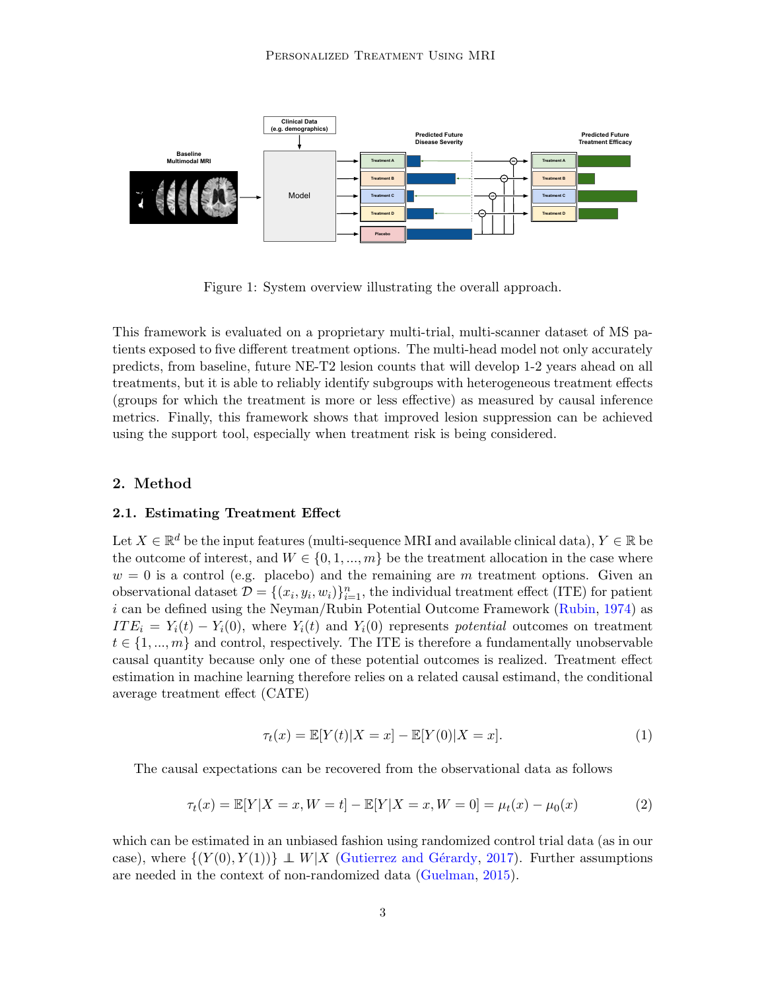

<span id="page-2-0"></span>Figure 1: System overview illustrating the overall approach.

This framework is evaluated on a proprietary multi-trial, multi-scanner dataset of MS patients exposed to five different treatment options. The multi-head model not only accurately predicts, from baseline, future NE-T2 lesion counts that will develop 1-2 years ahead on all treatments, but it is able to reliably identify subgroups with heterogeneous treatment effects (groups for which the treatment is more or less effective) as measured by causal inference metrics. Finally, this framework shows that improved lesion suppression can be achieved using the support tool, especially when treatment risk is being considered.

## 2. Method

## 2.1. Estimating Treatment Effect

Let  $X \in \mathbb{R}^d$  be the input features (multi-sequence MRI and available clinical data),  $Y \in \mathbb{R}$  be the outcome of interest, and  $W \in \{0, 1, ..., m\}$  be the treatment allocation in the case where  $w = 0$  is a control (e.g. placebo) and the remaining are m treatment options. Given an observational dataset  $\mathcal{D} = \{(x_i, y_i, w_i)\}_{i=1}^n$ , the individual treatment effect (ITE) for patient i can be defined using the Neyman/Rubin Potential Outcome Framework [\(Rubin,](#page-11-9) [1974\)](#page-11-9) as  $ITE_i = Y_i(t) - Y_i(0)$ , where  $Y_i(t)$  and  $Y_i(0)$  represents potential outcomes on treatment  $t \in \{1, ..., m\}$  and control, respectively. The ITE is therefore a fundamentally unobservable causal quantity because only one of these potential outcomes is realized. Treatment effect estimation in machine learning therefore relies on a related causal estimand, the conditional average treatment effect (CATE)

$$
\tau_t(x) = \mathbb{E}[Y(t)|X = x] - \mathbb{E}[Y(0)|X = x].
$$
\n(1)

The causal expectations can be recovered from the observational data as follows

$$
\tau_t(x) = \mathbb{E}[Y|X = x, W = t] - \mathbb{E}[Y|X = x, W = 0] = \mu_t(x) - \mu_0(x)
$$
\n(2)

which can be estimated in an unbiased fashion using randomized control trial data (as in our case), where  $\{(Y(0), Y(1))\}\perp W|X$  (Gutierrez and Gérardy, [2017\)](#page-9-3). Further assumptions are needed in the context of non-randomized data [\(Guelman,](#page-9-4) [2015\)](#page-9-4).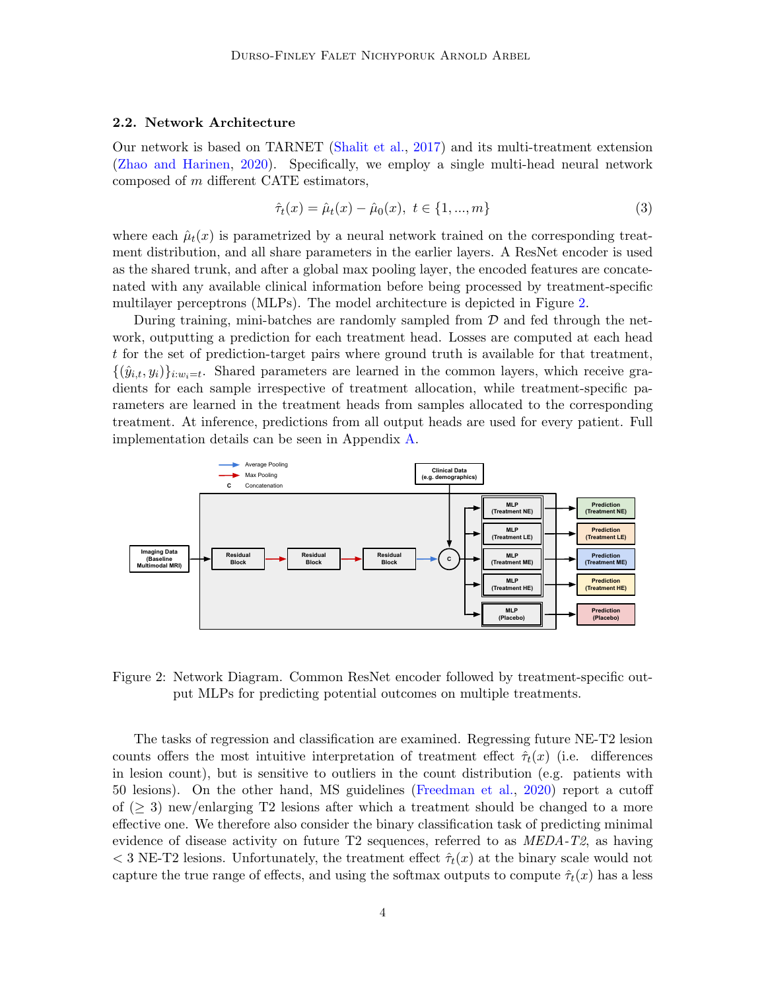#### 2.2. Network Architecture

Our network is based on TARNET [\(Shalit et al.,](#page-12-3) [2017\)](#page-12-3) and its multi-treatment extension [\(Zhao and Harinen,](#page-13-2) [2020\)](#page-13-2). Specifically, we employ a single multi-head neural network composed of m different CATE estimators,

$$
\hat{\tau}_t(x) = \hat{\mu}_t(x) - \hat{\mu}_0(x), \ t \in \{1, ..., m\}
$$
\n(3)

where each  $\hat{\mu}_t(x)$  is parametrized by a neural network trained on the corresponding treatment distribution, and all share parameters in the earlier layers. A ResNet encoder is used as the shared trunk, and after a global max pooling layer, the encoded features are concatenated with any available clinical information before being processed by treatment-specific multilayer perceptrons (MLPs). The model architecture is depicted in Figure [2.](#page-3-0)

During training, mini-batches are randomly sampled from  $D$  and fed through the network, outputting a prediction for each treatment head. Losses are computed at each head t for the set of prediction-target pairs where ground truth is available for that treatment,  $\{(\hat{y}_{i,t}, y_i)\}_{i:w_i=t}$ . Shared parameters are learned in the common layers, which receive gradients for each sample irrespective of treatment allocation, while treatment-specific parameters are learned in the treatment heads from samples allocated to the corresponding treatment. At inference, predictions from all output heads are used for every patient. Full implementation details can be seen in Appendix [A.](#page-14-0)



<span id="page-3-0"></span>Figure 2: Network Diagram. Common ResNet encoder followed by treatment-specific output MLPs for predicting potential outcomes on multiple treatments.

The tasks of regression and classification are examined. Regressing future NE-T2 lesion counts offers the most intuitive interpretation of treatment effect  $\hat{\tau}_t(x)$  (i.e. differences in lesion count), but is sensitive to outliers in the count distribution (e.g. patients with 50 lesions). On the other hand, MS guidelines [\(Freedman et al.,](#page-9-5) [2020\)](#page-9-5) report a cutoff of  $(\geq 3)$  new/enlarging T2 lesions after which a treatment should be changed to a more effective one. We therefore also consider the binary classification task of predicting minimal evidence of disease activity on future  $T2$  sequences, referred to as  $\text{MEDA-T2}$ , as having  $<$  3 NE-T2 lesions. Unfortunately, the treatment effect  $\hat{\tau}_t(x)$  at the binary scale would not capture the true range of effects, and using the softmax outputs to compute  $\hat{\tau}_t(x)$  has a less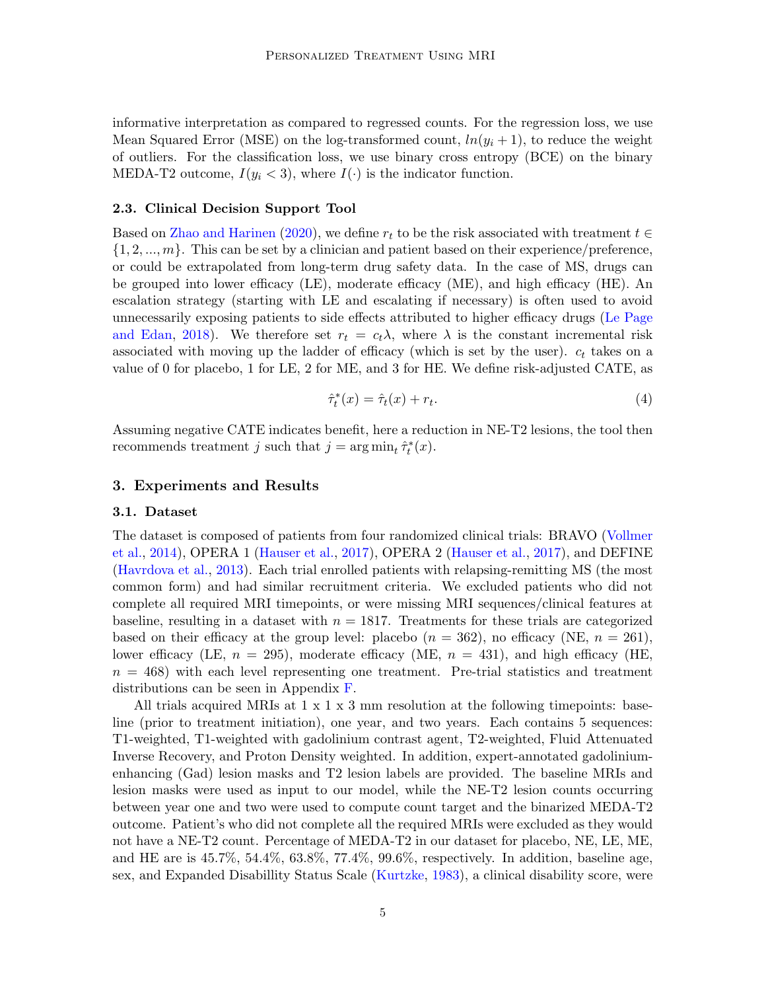informative interpretation as compared to regressed counts. For the regression loss, we use Mean Squared Error (MSE) on the log-transformed count,  $ln(y_i + 1)$ , to reduce the weight of outliers. For the classification loss, we use binary cross entropy (BCE) on the binary MEDA-T2 outcome,  $I(y_i < 3)$ , where  $I(\cdot)$  is the indicator function.

#### <span id="page-4-0"></span>2.3. Clinical Decision Support Tool

Based on [Zhao and Harinen](#page-13-2) [\(2020\)](#page-13-2), we define  $r_t$  to be the risk associated with treatment  $t \in$  $\{1, 2, ..., m\}$ . This can be set by a clinician and patient based on their experience/preference, or could be extrapolated from long-term drug safety data. In the case of MS, drugs can be grouped into lower efficacy (LE), moderate efficacy (ME), and high efficacy (HE). An escalation strategy (starting with LE and escalating if necessary) is often used to avoid unnecessarily exposing patients to side effects attributed to higher efficacy drugs [\(Le Page](#page-10-5) [and Edan,](#page-10-5) [2018\)](#page-10-5). We therefore set  $r_t = c_t \lambda$ , where  $\lambda$  is the constant incremental risk associated with moving up the ladder of efficacy (which is set by the user).  $c_t$  takes on a value of 0 for placebo, 1 for LE, 2 for ME, and 3 for HE. We define risk-adjusted CATE, as

$$
\hat{\tau}_t^*(x) = \hat{\tau}_t(x) + r_t. \tag{4}
$$

Assuming negative CATE indicates benefit, here a reduction in NE-T2 lesions, the tool then recommends treatment j such that  $j = \arg \min_t \hat{\tau}_t^*(x)$ .

#### 3. Experiments and Results

#### 3.1. Dataset

The dataset is composed of patients from four randomized clinical trials: BRAVO [\(Vollmer](#page-13-3) [et al.,](#page-13-3) [2014\)](#page-13-3), OPERA 1 [\(Hauser et al.,](#page-9-6) [2017\)](#page-9-6), OPERA 2 [\(Hauser et al.,](#page-9-6) [2017\)](#page-9-6), and DEFINE [\(Havrdova et al.,](#page-10-6) [2013\)](#page-10-6). Each trial enrolled patients with relapsing-remitting MS (the most common form) and had similar recruitment criteria. We excluded patients who did not complete all required MRI timepoints, or were missing MRI sequences/clinical features at baseline, resulting in a dataset with  $n = 1817$ . Treatments for these trials are categorized based on their efficacy at the group level: placebo  $(n = 362)$ , no efficacy (NE,  $n = 261$ ), lower efficacy (LE,  $n = 295$ ), moderate efficacy (ME,  $n = 431$ ), and high efficacy (HE,  $n = 468$ ) with each level representing one treatment. Pre-trial statistics and treatment distributions can be seen in Appendix [F.](#page-18-0)

All trials acquired MRIs at  $1 \times 1 \times 3$  mm resolution at the following time points: baseline (prior to treatment initiation), one year, and two years. Each contains 5 sequences: T1-weighted, T1-weighted with gadolinium contrast agent, T2-weighted, Fluid Attenuated Inverse Recovery, and Proton Density weighted. In addition, expert-annotated gadoliniumenhancing (Gad) lesion masks and T2 lesion labels are provided. The baseline MRIs and lesion masks were used as input to our model, while the NE-T2 lesion counts occurring between year one and two were used to compute count target and the binarized MEDA-T2 outcome. Patient's who did not complete all the required MRIs were excluded as they would not have a NE-T2 count. Percentage of MEDA-T2 in our dataset for placebo, NE, LE, ME, and HE are is 45.7%, 54.4%, 63.8%, 77.4%, 99.6%, respectively. In addition, baseline age, sex, and Expanded Disabillity Status Scale [\(Kurtzke,](#page-10-7) [1983\)](#page-10-7), a clinical disability score, were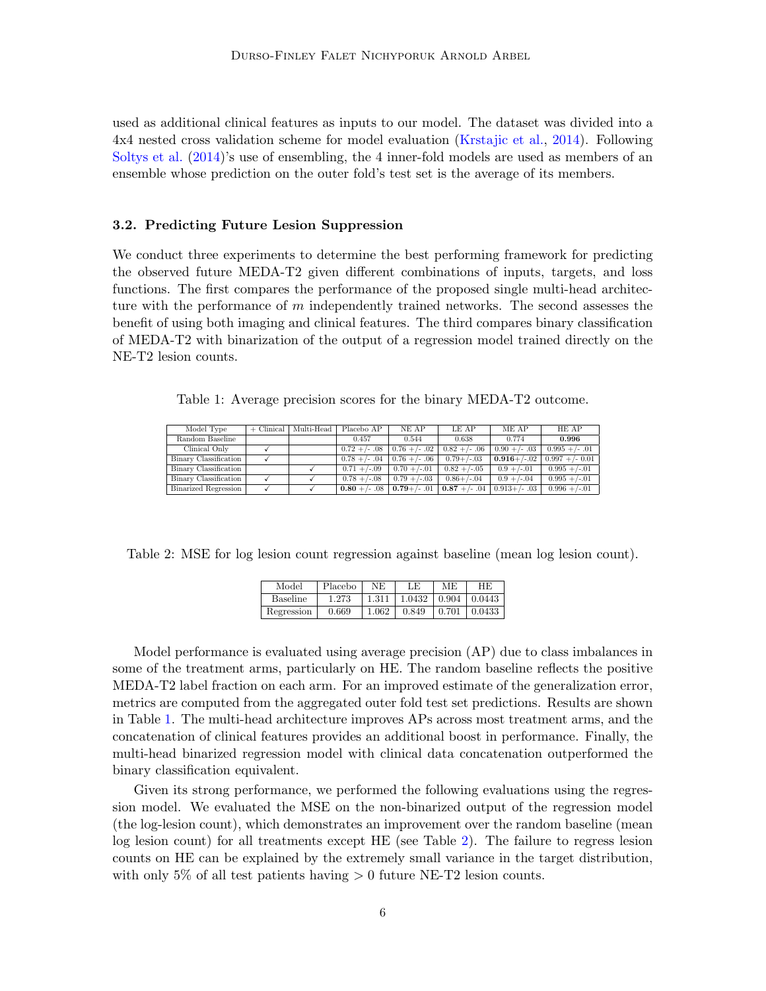used as additional clinical features as inputs to our model. The dataset was divided into a 4x4 nested cross validation scheme for model evaluation [\(Krstajic et al.,](#page-10-8) [2014\)](#page-10-8). Following [Soltys et al.](#page-12-6) [\(2014\)](#page-12-6)'s use of ensembling, the 4 inner-fold models are used as members of an ensemble whose prediction on the outer fold's test set is the average of its members.

#### 3.2. Predicting Future Lesion Suppression

We conduct three experiments to determine the best performing framework for predicting the observed future MEDA-T2 given different combinations of inputs, targets, and loss functions. The first compares the performance of the proposed single multi-head architecture with the performance of  $m$  independently trained networks. The second assesses the benefit of using both imaging and clinical features. The third compares binary classification of MEDA-T2 with binarization of the output of a regression model trained directly on the NE-T2 lesion counts.

<span id="page-5-0"></span>Table 1: Average precision scores for the binary MEDA-T2 outcome.

| Model Type            | $+$ Clinical   Multi-Head | Placebo AP       | NE AP                          | LE AP                                                   | ME AP           | HE AP                       |
|-----------------------|---------------------------|------------------|--------------------------------|---------------------------------------------------------|-----------------|-----------------------------|
| Random Baseline       |                           | 0.457            | 0.544                          | 0.638                                                   | 0.774           | 0.996                       |
| Clinical Only         |                           | $0.72 + (-.08)$  | $0.76 + (-.02)$                | $0.82 + (-.06)$                                         | $0.90 +/- .03$  | $0.995 + (-0.01)$           |
| Binary Classification |                           |                  | $0.78 +/- .04$ 0.76 + $/- .06$ | $0.79 + (-0.03)$                                        |                 | $0.916+/-02$ 0.997 +/- 0.01 |
| Binary Classification |                           | $0.71 + (-0.09)$ | $0.70 + (-0.01)$               | $0.82 + (-0.05)$                                        | $0.9 + (-0.01)$ | $0.995 + (-0.01)$           |
| Binary Classification |                           | $0.78 + (-0.08)$ | $0.79 + (-0.03)$               | $0.86 + / -0.04$                                        | $0.9 + (-0.04)$ | $0.995 + (-0.01)$           |
| Binarized Regression  |                           |                  |                                | $0.80 + (-.08 \mid 0.79 + (-.01 \mid 0.87 + (-.04 \mid$ | $0.913+/-.03$   | $0.996 + (-0.01)$           |

<span id="page-5-1"></span>Table 2: MSE for log lesion count regression against baseline (mean log lesion count).

| Model      | Placebo | NE.   | LE     | МE | HE.                      |
|------------|---------|-------|--------|----|--------------------------|
| Baseline   | 1.273   | 1.311 | 1.0432 |    | $\mid$ 0.904   0.0443    |
| Regression | 0.669   | 1.062 | 0.849  |    | $\mid 0.701 \mid 0.0433$ |

Model performance is evaluated using average precision (AP) due to class imbalances in some of the treatment arms, particularly on HE. The random baseline reflects the positive MEDA-T2 label fraction on each arm. For an improved estimate of the generalization error, metrics are computed from the aggregated outer fold test set predictions. Results are shown in Table [1.](#page-5-0) The multi-head architecture improves APs across most treatment arms, and the concatenation of clinical features provides an additional boost in performance. Finally, the multi-head binarized regression model with clinical data concatenation outperformed the binary classification equivalent.

Given its strong performance, we performed the following evaluations using the regression model. We evaluated the MSE on the non-binarized output of the regression model (the log-lesion count), which demonstrates an improvement over the random baseline (mean log lesion count) for all treatments except HE (see Table [2\)](#page-5-1). The failure to regress lesion counts on HE can be explained by the extremely small variance in the target distribution, with only 5% of all test patients having  $> 0$  future NE-T2 lesion counts.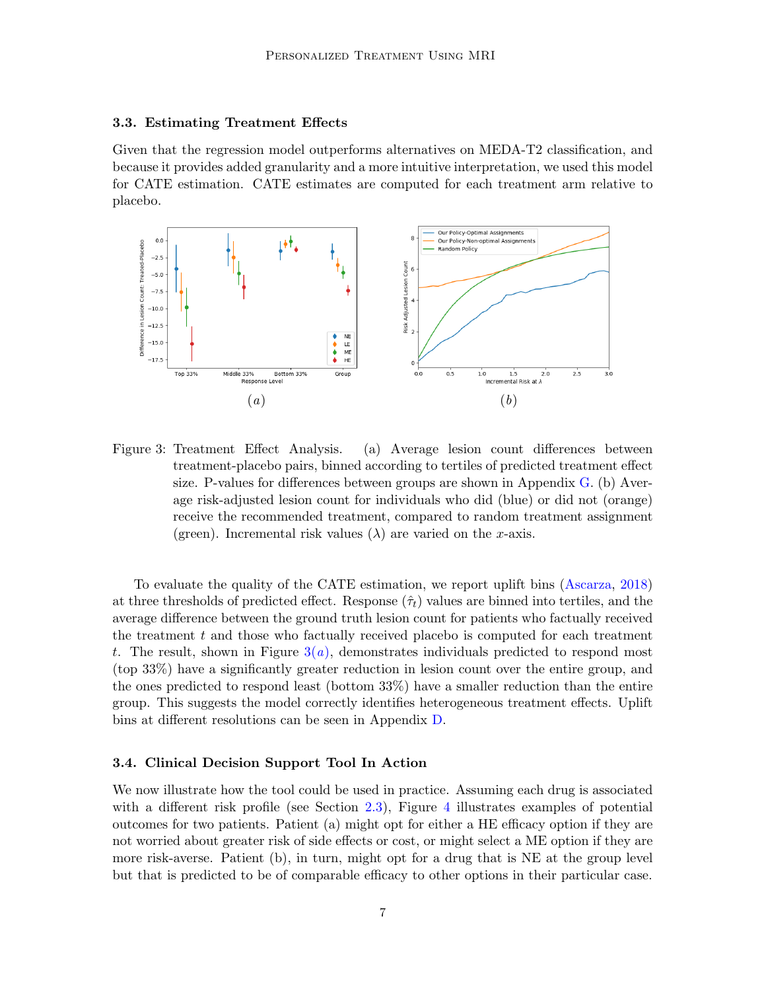#### 3.3. Estimating Treatment Effects

Given that the regression model outperforms alternatives on MEDA-T2 classification, and because it provides added granularity and a more intuitive interpretation, we used this model for CATE estimation. CATE estimates are computed for each treatment arm relative to placebo.

<span id="page-6-0"></span>

<span id="page-6-1"></span>Figure 3: Treatment Effect Analysis. (a) Average lesion count differences between treatment-placebo pairs, binned according to tertiles of predicted treatment effect size. P-values for differences between groups are shown in Appendix [G.](#page-19-1) (b) Average risk-adjusted lesion count for individuals who did (blue) or did not (orange) receive the recommended treatment, compared to random treatment assignment (green). Incremental risk values  $(\lambda)$  are varied on the x-axis.

To evaluate the quality of the CATE estimation, we report uplift bins [\(Ascarza,](#page-8-3) [2018\)](#page-8-3) at three thresholds of predicted effect. Response  $(\hat{\tau}_t)$  values are binned into tertiles, and the average difference between the ground truth lesion count for patients who factually received the treatment  $t$  and those who factually received placebo is computed for each treatment t. The result, shown in Figure  $3(a)$  $3(a)$ , demonstrates individuals predicted to respond most (top 33%) have a significantly greater reduction in lesion count over the entire group, and the ones predicted to respond least (bottom 33%) have a smaller reduction than the entire group. This suggests the model correctly identifies heterogeneous treatment effects. Uplift bins at different resolutions can be seen in Appendix [D.](#page-17-0)

## 3.4. Clinical Decision Support Tool In Action

We now illustrate how the tool could be used in practice. Assuming each drug is associated with a different risk profile (see Section [2.3\)](#page-4-0), Figure [4](#page-7-0) illustrates examples of potential outcomes for two patients. Patient (a) might opt for either a HE efficacy option if they are not worried about greater risk of side effects or cost, or might select a ME option if they are more risk-averse. Patient (b), in turn, might opt for a drug that is NE at the group level but that is predicted to be of comparable efficacy to other options in their particular case.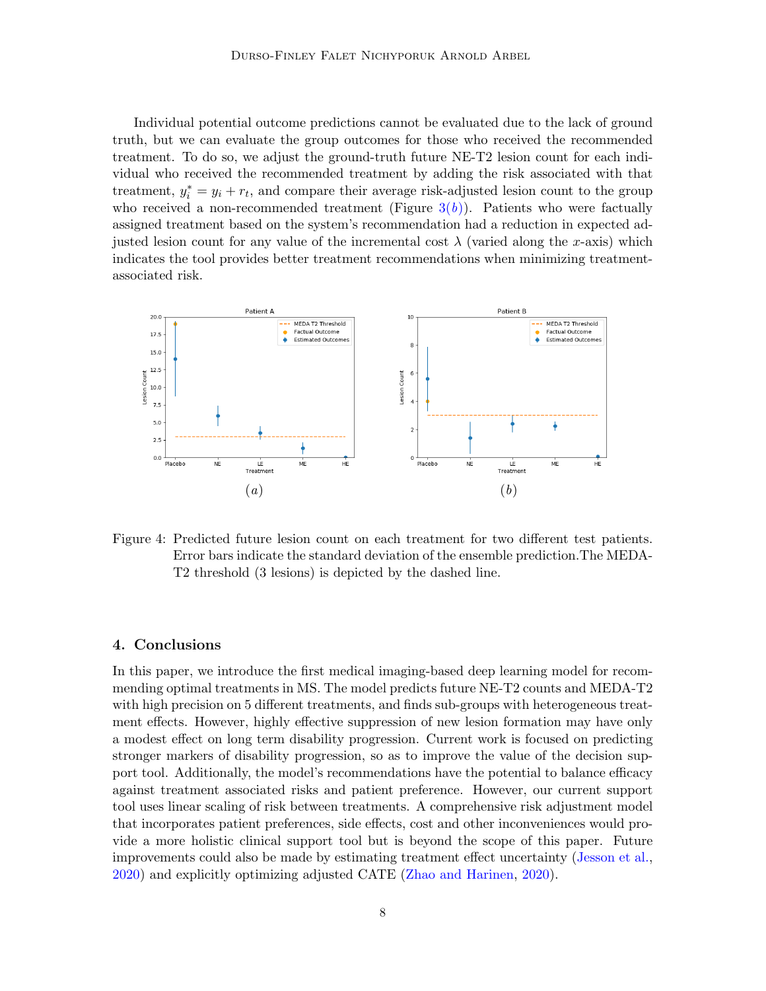Individual potential outcome predictions cannot be evaluated due to the lack of ground truth, but we can evaluate the group outcomes for those who received the recommended treatment. To do so, we adjust the ground-truth future NE-T2 lesion count for each individual who received the recommended treatment by adding the risk associated with that treatment,  $y_i^* = y_i + r_t$ , and compare their average risk-adjusted lesion count to the group who received a non-recommended treatment (Figure  $3(b)$  $3(b)$ ). Patients who were factually assigned treatment based on the system's recommendation had a reduction in expected adjusted lesion count for any value of the incremental cost  $\lambda$  (varied along the x-axis) which indicates the tool provides better treatment recommendations when minimizing treatmentassociated risk.



<span id="page-7-0"></span>Figure 4: Predicted future lesion count on each treatment for two different test patients. Error bars indicate the standard deviation of the ensemble prediction.The MEDA-T2 threshold (3 lesions) is depicted by the dashed line.

#### 4. Conclusions

In this paper, we introduce the first medical imaging-based deep learning model for recommending optimal treatments in MS. The model predicts future NE-T2 counts and MEDA-T2 with high precision on 5 different treatments, and finds sub-groups with heterogeneous treatment effects. However, highly effective suppression of new lesion formation may have only a modest effect on long term disability progression. Current work is focused on predicting stronger markers of disability progression, so as to improve the value of the decision support tool. Additionally, the model's recommendations have the potential to balance efficacy against treatment associated risks and patient preference. However, our current support tool uses linear scaling of risk between treatments. A comprehensive risk adjustment model that incorporates patient preferences, side effects, cost and other inconveniences would provide a more holistic clinical support tool but is beyond the scope of this paper. Future improvements could also be made by estimating treatment effect uncertainty [\(Jesson et al.,](#page-10-9) [2020\)](#page-10-9) and explicitly optimizing adjusted CATE [\(Zhao and Harinen,](#page-13-2) [2020\)](#page-13-2).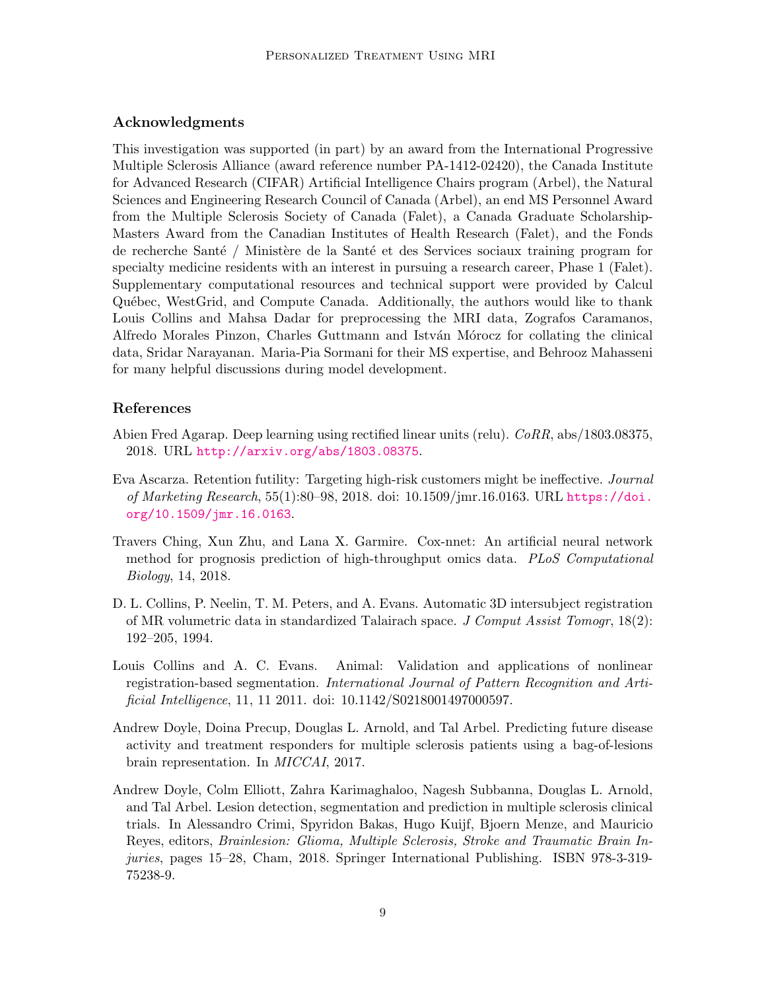## Acknowledgments

This investigation was supported (in part) by an award from the International Progressive Multiple Sclerosis Alliance (award reference number PA-1412-02420), the Canada Institute for Advanced Research (CIFAR) Artificial Intelligence Chairs program (Arbel), the Natural Sciences and Engineering Research Council of Canada (Arbel), an end MS Personnel Award from the Multiple Sclerosis Society of Canada (Falet), a Canada Graduate Scholarship-Masters Award from the Canadian Institutes of Health Research (Falet), and the Fonds de recherche Santé / Ministère de la Santé et des Services sociaux training program for specialty medicine residents with an interest in pursuing a research career, Phase 1 (Falet). Supplementary computational resources and technical support were provided by Calcul Qu´ebec, WestGrid, and Compute Canada. Additionally, the authors would like to thank Louis Collins and Mahsa Dadar for preprocessing the MRI data, Zografos Caramanos, Alfredo Morales Pinzon, Charles Guttmann and István Mórocz for collating the clinical data, Sridar Narayanan. Maria-Pia Sormani for their MS expertise, and Behrooz Mahasseni for many helpful discussions during model development.

#### References

- <span id="page-8-4"></span>Abien Fred Agarap. Deep learning using rectified linear units (relu). CoRR, abs/1803.08375, 2018. URL <http://arxiv.org/abs/1803.08375>.
- <span id="page-8-3"></span>Eva Ascarza. Retention futility: Targeting high-risk customers might be ineffective. Journal of Marketing Research, 55(1):80–98, 2018. doi: 10.1509/jmr.16.0163. URL [https://doi.](https://doi.org/10.1509/jmr.16.0163) [org/10.1509/jmr.16.0163](https://doi.org/10.1509/jmr.16.0163).
- <span id="page-8-2"></span>Travers Ching, Xun Zhu, and Lana X. Garmire. Cox-nnet: An artificial neural network method for prognosis prediction of high-throughput omics data. PLoS Computational Biology, 14, 2018.
- <span id="page-8-5"></span>D. L. Collins, P. Neelin, T. M. Peters, and A. Evans. Automatic 3D intersubject registration of MR volumetric data in standardized Talairach space. J Comput Assist Tomogr, 18(2): 192–205, 1994.
- <span id="page-8-6"></span>Louis Collins and A. C. Evans. Animal: Validation and applications of nonlinear registration-based segmentation. International Journal of Pattern Recognition and Artificial Intelligence, 11, 11 2011. doi: 10.1142/S0218001497000597.
- <span id="page-8-1"></span>Andrew Doyle, Doina Precup, Douglas L. Arnold, and Tal Arbel. Predicting future disease activity and treatment responders for multiple sclerosis patients using a bag-of-lesions brain representation. In MICCAI, 2017.
- <span id="page-8-0"></span>Andrew Doyle, Colm Elliott, Zahra Karimaghaloo, Nagesh Subbanna, Douglas L. Arnold, and Tal Arbel. Lesion detection, segmentation and prediction in multiple sclerosis clinical trials. In Alessandro Crimi, Spyridon Bakas, Hugo Kuijf, Bjoern Menze, and Mauricio Reyes, editors, Brainlesion: Glioma, Multiple Sclerosis, Stroke and Traumatic Brain Injuries, pages 15–28, Cham, 2018. Springer International Publishing. ISBN 978-3-319- 75238-9.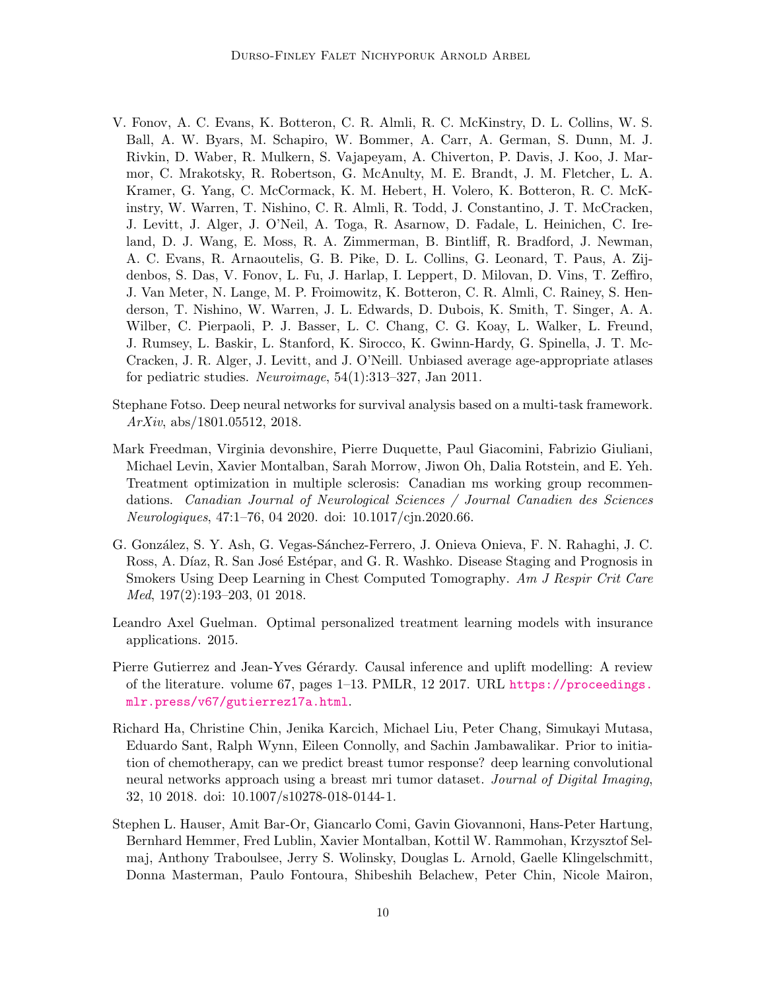- <span id="page-9-7"></span>V. Fonov, A. C. Evans, K. Botteron, C. R. Almli, R. C. McKinstry, D. L. Collins, W. S. Ball, A. W. Byars, M. Schapiro, W. Bommer, A. Carr, A. German, S. Dunn, M. J. Rivkin, D. Waber, R. Mulkern, S. Vajapeyam, A. Chiverton, P. Davis, J. Koo, J. Marmor, C. Mrakotsky, R. Robertson, G. McAnulty, M. E. Brandt, J. M. Fletcher, L. A. Kramer, G. Yang, C. McCormack, K. M. Hebert, H. Volero, K. Botteron, R. C. McKinstry, W. Warren, T. Nishino, C. R. Almli, R. Todd, J. Constantino, J. T. McCracken, J. Levitt, J. Alger, J. O'Neil, A. Toga, R. Asarnow, D. Fadale, L. Heinichen, C. Ireland, D. J. Wang, E. Moss, R. A. Zimmerman, B. Bintliff, R. Bradford, J. Newman, A. C. Evans, R. Arnaoutelis, G. B. Pike, D. L. Collins, G. Leonard, T. Paus, A. Zijdenbos, S. Das, V. Fonov, L. Fu, J. Harlap, I. Leppert, D. Milovan, D. Vins, T. Zeffiro, J. Van Meter, N. Lange, M. P. Froimowitz, K. Botteron, C. R. Almli, C. Rainey, S. Henderson, T. Nishino, W. Warren, J. L. Edwards, D. Dubois, K. Smith, T. Singer, A. A. Wilber, C. Pierpaoli, P. J. Basser, L. C. Chang, C. G. Koay, L. Walker, L. Freund, J. Rumsey, L. Baskir, L. Stanford, K. Sirocco, K. Gwinn-Hardy, G. Spinella, J. T. Mc-Cracken, J. R. Alger, J. Levitt, and J. O'Neill. Unbiased average age-appropriate atlases for pediatric studies. Neuroimage, 54(1):313–327, Jan 2011.
- <span id="page-9-2"></span>Stephane Fotso. Deep neural networks for survival analysis based on a multi-task framework. ArXiv, abs/1801.05512, 2018.
- <span id="page-9-5"></span>Mark Freedman, Virginia devonshire, Pierre Duquette, Paul Giacomini, Fabrizio Giuliani, Michael Levin, Xavier Montalban, Sarah Morrow, Jiwon Oh, Dalia Rotstein, and E. Yeh. Treatment optimization in multiple sclerosis: Canadian ms working group recommendations. Canadian Journal of Neurological Sciences / Journal Canadien des Sciences Neurologiques, 47:1–76, 04 2020. doi: 10.1017/cjn.2020.66.
- <span id="page-9-0"></span>G. González, S. Y. Ash, G. Vegas-Sánchez-Ferrero, J. Onieva Onieva, F. N. Rahaghi, J. C. Ross, A. Díaz, R. San José Estépar, and G. R. Washko. Disease Staging and Prognosis in Smokers Using Deep Learning in Chest Computed Tomography. Am J Respir Crit Care Med, 197(2):193–203, 01 2018.
- <span id="page-9-4"></span>Leandro Axel Guelman. Optimal personalized treatment learning models with insurance applications. 2015.
- <span id="page-9-3"></span>Pierre Gutierrez and Jean-Yves Gérardy. Causal inference and uplift modelling: A review of the literature. volume 67, pages 1–13. PMLR, 12 2017. URL [https://proceedings.](https://proceedings.mlr.press/v67/gutierrez17a.html) [mlr.press/v67/gutierrez17a.html](https://proceedings.mlr.press/v67/gutierrez17a.html).
- <span id="page-9-1"></span>Richard Ha, Christine Chin, Jenika Karcich, Michael Liu, Peter Chang, Simukayi Mutasa, Eduardo Sant, Ralph Wynn, Eileen Connolly, and Sachin Jambawalikar. Prior to initiation of chemotherapy, can we predict breast tumor response? deep learning convolutional neural networks approach using a breast mri tumor dataset. Journal of Digital Imaging, 32, 10 2018. doi: 10.1007/s10278-018-0144-1.
- <span id="page-9-6"></span>Stephen L. Hauser, Amit Bar-Or, Giancarlo Comi, Gavin Giovannoni, Hans-Peter Hartung, Bernhard Hemmer, Fred Lublin, Xavier Montalban, Kottil W. Rammohan, Krzysztof Selmaj, Anthony Traboulsee, Jerry S. Wolinsky, Douglas L. Arnold, Gaelle Klingelschmitt, Donna Masterman, Paulo Fontoura, Shibeshih Belachew, Peter Chin, Nicole Mairon,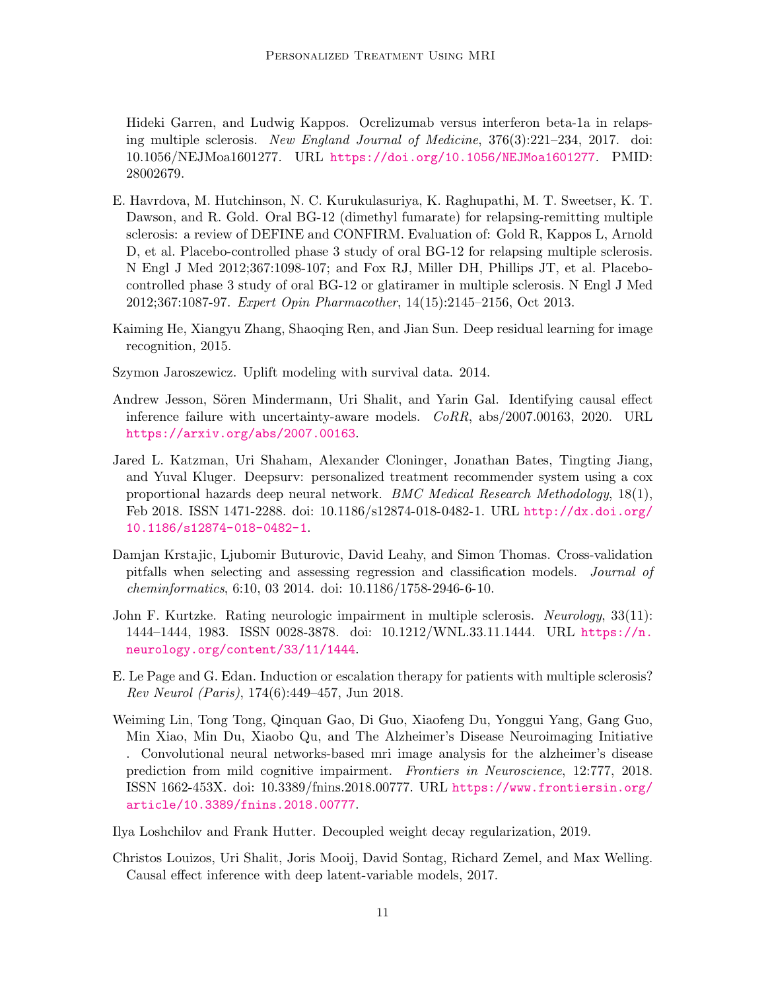Hideki Garren, and Ludwig Kappos. Ocrelizumab versus interferon beta-1a in relapsing multiple sclerosis. New England Journal of Medicine, 376(3):221–234, 2017. doi: 10.1056/NEJMoa1601277. URL <https://doi.org/10.1056/NEJMoa1601277>. PMID: 28002679.

- <span id="page-10-6"></span>E. Havrdova, M. Hutchinson, N. C. Kurukulasuriya, K. Raghupathi, M. T. Sweetser, K. T. Dawson, and R. Gold. Oral BG-12 (dimethyl fumarate) for relapsing-remitting multiple sclerosis: a review of DEFINE and CONFIRM. Evaluation of: Gold R, Kappos L, Arnold D, et al. Placebo-controlled phase 3 study of oral BG-12 for relapsing multiple sclerosis. N Engl J Med 2012;367:1098-107; and Fox RJ, Miller DH, Phillips JT, et al. Placebocontrolled phase 3 study of oral BG-12 or glatiramer in multiple sclerosis. N Engl J Med 2012;367:1087-97. Expert Opin Pharmacother, 14(15):2145–2156, Oct 2013.
- <span id="page-10-4"></span>Kaiming He, Xiangyu Zhang, Shaoqing Ren, and Jian Sun. Deep residual learning for image recognition, 2015.
- <span id="page-10-3"></span>Szymon Jaroszewicz. Uplift modeling with survival data. 2014.
- <span id="page-10-9"></span>Andrew Jesson, Sören Mindermann, Uri Shalit, and Yarin Gal. Identifying causal effect inference failure with uncertainty-aware models. CoRR, abs/2007.00163, 2020. URL <https://arxiv.org/abs/2007.00163>.
- <span id="page-10-2"></span>Jared L. Katzman, Uri Shaham, Alexander Cloninger, Jonathan Bates, Tingting Jiang, and Yuval Kluger. Deepsurv: personalized treatment recommender system using a cox proportional hazards deep neural network. BMC Medical Research Methodology, 18(1), Feb 2018. ISSN 1471-2288. doi: 10.1186/s12874-018-0482-1. URL [http://dx.doi.org/](http://dx.doi.org/10.1186/s12874-018-0482-1) [10.1186/s12874-018-0482-1](http://dx.doi.org/10.1186/s12874-018-0482-1).
- <span id="page-10-8"></span>Damjan Krstajic, Ljubomir Buturovic, David Leahy, and Simon Thomas. Cross-validation pitfalls when selecting and assessing regression and classification models. Journal of cheminformatics, 6:10, 03 2014. doi: 10.1186/1758-2946-6-10.
- <span id="page-10-7"></span>John F. Kurtzke. Rating neurologic impairment in multiple sclerosis. Neurology, 33(11): 1444–1444, 1983. ISSN 0028-3878. doi: 10.1212/WNL.33.11.1444. URL [https://n.](https://n.neurology.org/content/33/11/1444) [neurology.org/content/33/11/1444](https://n.neurology.org/content/33/11/1444).
- <span id="page-10-5"></span>E. Le Page and G. Edan. Induction or escalation therapy for patients with multiple sclerosis? Rev Neurol (Paris), 174(6):449–457, Jun 2018.
- <span id="page-10-0"></span>Weiming Lin, Tong Tong, Qinquan Gao, Di Guo, Xiaofeng Du, Yonggui Yang, Gang Guo, Min Xiao, Min Du, Xiaobo Qu, and The Alzheimer's Disease Neuroimaging Initiative . Convolutional neural networks-based mri image analysis for the alzheimer's disease prediction from mild cognitive impairment. Frontiers in Neuroscience, 12:777, 2018. ISSN 1662-453X. doi: 10.3389/fnins.2018.00777. URL [https://www.frontiersin.org/](https://www.frontiersin.org/article/10.3389/fnins.2018.00777) [article/10.3389/fnins.2018.00777](https://www.frontiersin.org/article/10.3389/fnins.2018.00777).

<span id="page-10-10"></span>Ilya Loshchilov and Frank Hutter. Decoupled weight decay regularization, 2019.

<span id="page-10-1"></span>Christos Louizos, Uri Shalit, Joris Mooij, David Sontag, Richard Zemel, and Max Welling. Causal effect inference with deep latent-variable models, 2017.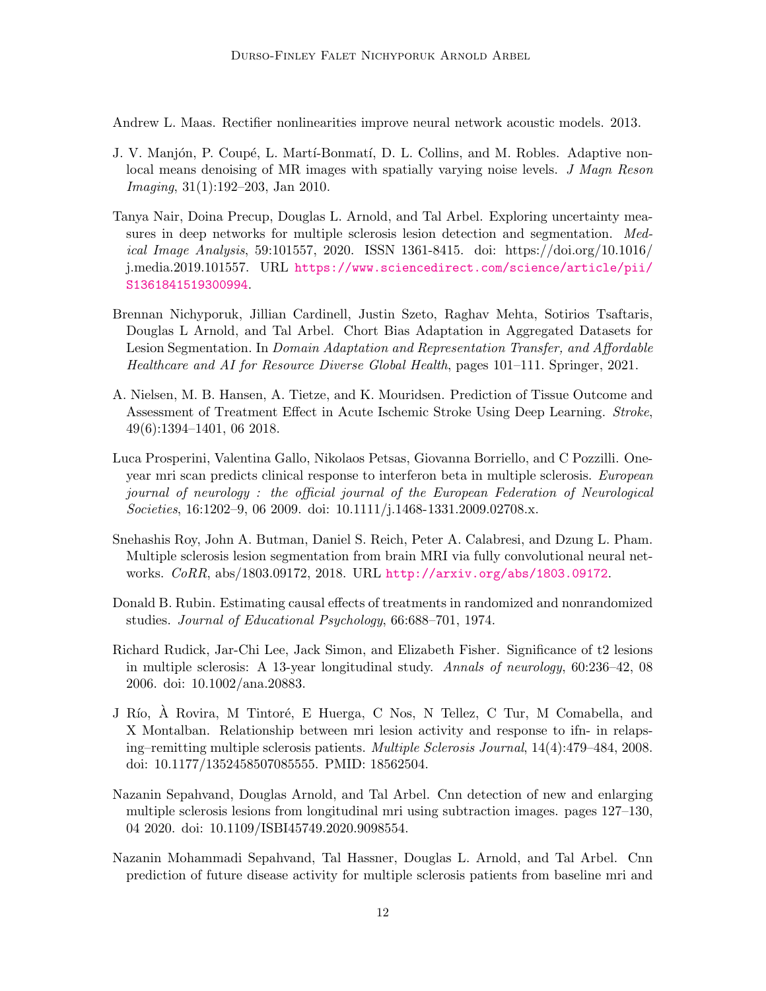<span id="page-11-10"></span>Andrew L. Maas. Rectifier nonlinearities improve neural network acoustic models. 2013.

- <span id="page-11-11"></span>J. V. Manjón, P. Coupé, L. Martí-Bonmatí, D. L. Collins, and M. Robles. Adaptive nonlocal means denoising of MR images with spatially varying noise levels. J Magn Reson Imaging, 31(1):192–203, Jan 2010.
- <span id="page-11-3"></span>Tanya Nair, Doina Precup, Douglas L. Arnold, and Tal Arbel. Exploring uncertainty measures in deep networks for multiple sclerosis lesion detection and segmentation. Medical Image Analysis, 59:101557, 2020. ISSN 1361-8415. doi: https://doi.org/10.1016/ j.media.2019.101557. URL [https://www.sciencedirect.com/science/article/pii/](https://www.sciencedirect.com/science/article/pii/S1361841519300994) [S1361841519300994](https://www.sciencedirect.com/science/article/pii/S1361841519300994).
- <span id="page-11-4"></span>Brennan Nichyporuk, Jillian Cardinell, Justin Szeto, Raghav Mehta, Sotirios Tsaftaris, Douglas L Arnold, and Tal Arbel. Chort Bias Adaptation in Aggregated Datasets for Lesion Segmentation. In Domain Adaptation and Representation Transfer, and Affordable Healthcare and AI for Resource Diverse Global Health, pages 101–111. Springer, 2021.
- <span id="page-11-1"></span>A. Nielsen, M. B. Hansen, A. Tietze, and K. Mouridsen. Prediction of Tissue Outcome and Assessment of Treatment Effect in Acute Ischemic Stroke Using Deep Learning. Stroke, 49(6):1394–1401, 06 2018.
- <span id="page-11-8"></span>Luca Prosperini, Valentina Gallo, Nikolaos Petsas, Giovanna Borriello, and C Pozzilli. Oneyear mri scan predicts clinical response to interferon beta in multiple sclerosis. European journal of neurology : the official journal of the European Federation of Neurological Societies, 16:1202–9, 06 2009. doi: 10.1111/j.1468-1331.2009.02708.x.
- <span id="page-11-2"></span>Snehashis Roy, John A. Butman, Daniel S. Reich, Peter A. Calabresi, and Dzung L. Pham. Multiple sclerosis lesion segmentation from brain MRI via fully convolutional neural networks. CoRR, abs/1803.09172, 2018. URL <http://arxiv.org/abs/1803.09172>.
- <span id="page-11-9"></span>Donald B. Rubin. Estimating causal effects of treatments in randomized and nonrandomized studies. Journal of Educational Psychology, 66:688–701, 1974.
- <span id="page-11-0"></span>Richard Rudick, Jar-Chi Lee, Jack Simon, and Elizabeth Fisher. Significance of t2 lesions in multiple sclerosis: A 13-year longitudinal study. Annals of neurology, 60:236–42, 08 2006. doi: 10.1002/ana.20883.
- <span id="page-11-7"></span>J Río, A Rovira, M Tintoré, E Huerga, C Nos, N Tellez, C Tur, M Comabella, and X Montalban. Relationship between mri lesion activity and response to ifn- in relapsing–remitting multiple sclerosis patients. Multiple Sclerosis Journal, 14(4):479–484, 2008. doi: 10.1177/1352458507085555. PMID: 18562504.
- <span id="page-11-5"></span>Nazanin Sepahvand, Douglas Arnold, and Tal Arbel. Cnn detection of new and enlarging multiple sclerosis lesions from longitudinal mri using subtraction images. pages 127–130, 04 2020. doi: 10.1109/ISBI45749.2020.9098554.
- <span id="page-11-6"></span>Nazanin Mohammadi Sepahvand, Tal Hassner, Douglas L. Arnold, and Tal Arbel. Cnn prediction of future disease activity for multiple sclerosis patients from baseline mri and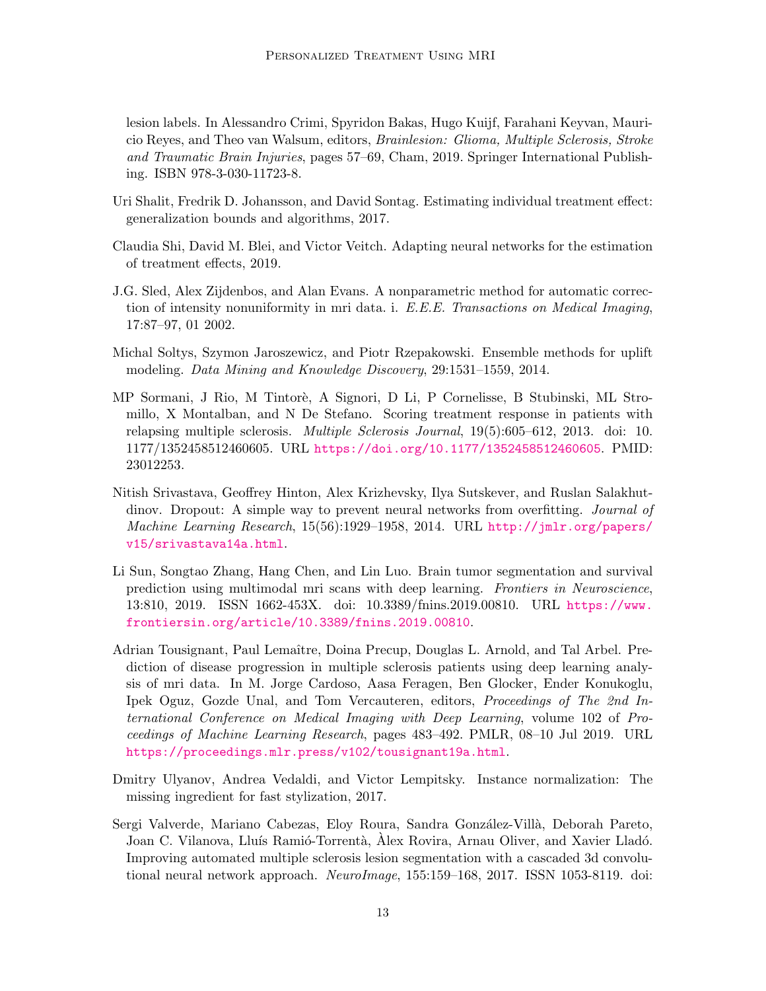lesion labels. In Alessandro Crimi, Spyridon Bakas, Hugo Kuijf, Farahani Keyvan, Mauricio Reyes, and Theo van Walsum, editors, Brainlesion: Glioma, Multiple Sclerosis, Stroke and Traumatic Brain Injuries, pages 57–69, Cham, 2019. Springer International Publishing. ISBN 978-3-030-11723-8.

- <span id="page-12-3"></span>Uri Shalit, Fredrik D. Johansson, and David Sontag. Estimating individual treatment effect: generalization bounds and algorithms, 2017.
- <span id="page-12-4"></span>Claudia Shi, David M. Blei, and Victor Veitch. Adapting neural networks for the estimation of treatment effects, 2019.
- <span id="page-12-9"></span>J.G. Sled, Alex Zijdenbos, and Alan Evans. A nonparametric method for automatic correction of intensity nonuniformity in mri data. i. E.E.E. Transactions on Medical Imaging, 17:87–97, 01 2002.
- <span id="page-12-6"></span>Michal Soltys, Szymon Jaroszewicz, and Piotr Rzepakowski. Ensemble methods for uplift modeling. Data Mining and Knowledge Discovery, 29:1531–1559, 2014.
- <span id="page-12-5"></span>MP Sormani, J Rio, M Tintor`e, A Signori, D Li, P Cornelisse, B Stubinski, ML Stromillo, X Montalban, and N De Stefano. Scoring treatment response in patients with relapsing multiple sclerosis. Multiple Sclerosis Journal, 19(5):605–612, 2013. doi: 10. 1177/1352458512460605. URL <https://doi.org/10.1177/1352458512460605>. PMID: 23012253.
- <span id="page-12-8"></span>Nitish Srivastava, Geoffrey Hinton, Alex Krizhevsky, Ilya Sutskever, and Ruslan Salakhutdinov. Dropout: A simple way to prevent neural networks from overfitting. *Journal of* Machine Learning Research, 15(56):1929–1958, 2014. URL [http://jmlr.org/papers/](http://jmlr.org/papers/v15/srivastava14a.html) [v15/srivastava14a.html](http://jmlr.org/papers/v15/srivastava14a.html).
- <span id="page-12-0"></span>Li Sun, Songtao Zhang, Hang Chen, and Lin Luo. Brain tumor segmentation and survival prediction using multimodal mri scans with deep learning. Frontiers in Neuroscience, 13:810, 2019. ISSN 1662-453X. doi: 10.3389/fnins.2019.00810. URL [https://www.](https://www.frontiersin.org/article/10.3389/fnins.2019.00810) [frontiersin.org/article/10.3389/fnins.2019.00810](https://www.frontiersin.org/article/10.3389/fnins.2019.00810).
- <span id="page-12-2"></span>Adrian Tousignant, Paul Lemaître, Doina Precup, Douglas L. Arnold, and Tal Arbel. Prediction of disease progression in multiple sclerosis patients using deep learning analysis of mri data. In M. Jorge Cardoso, Aasa Feragen, Ben Glocker, Ender Konukoglu, Ipek Oguz, Gozde Unal, and Tom Vercauteren, editors, Proceedings of The 2nd International Conference on Medical Imaging with Deep Learning, volume 102 of Proceedings of Machine Learning Research, pages 483–492. PMLR, 08–10 Jul 2019. URL <https://proceedings.mlr.press/v102/tousignant19a.html>.
- <span id="page-12-7"></span>Dmitry Ulyanov, Andrea Vedaldi, and Victor Lempitsky. Instance normalization: The missing ingredient for fast stylization, 2017.
- <span id="page-12-1"></span>Sergi Valverde, Mariano Cabezas, Eloy Roura, Sandra González-Villà, Deborah Pareto, Joan C. Vilanova, Lluís Ramió-Torrentà, Alex Rovira, Arnau Oliver, and Xavier Lladó. Improving automated multiple sclerosis lesion segmentation with a cascaded 3d convolutional neural network approach. NeuroImage, 155:159–168, 2017. ISSN 1053-8119. doi: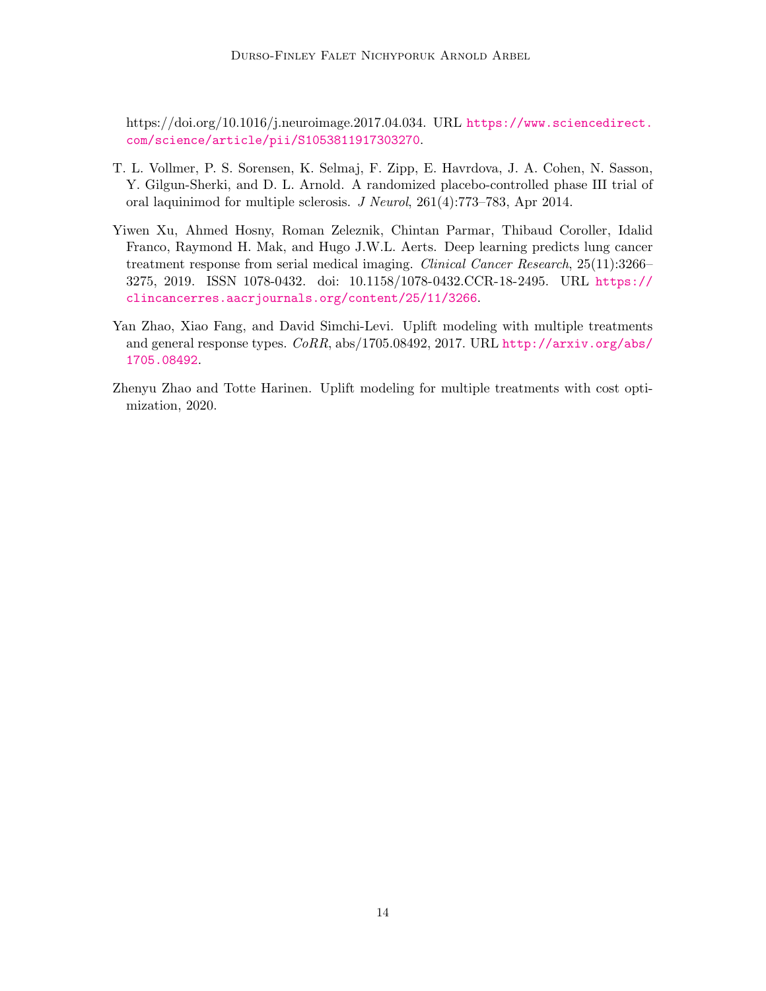https://doi.org/10.1016/j.neuroimage.2017.04.034. URL [https://www.sciencedirect.](https://www.sciencedirect.com/science/article/pii/S1053811917303270) [com/science/article/pii/S1053811917303270](https://www.sciencedirect.com/science/article/pii/S1053811917303270).

- <span id="page-13-3"></span>T. L. Vollmer, P. S. Sorensen, K. Selmaj, F. Zipp, E. Havrdova, J. A. Cohen, N. Sasson, Y. Gilgun-Sherki, and D. L. Arnold. A randomized placebo-controlled phase III trial of oral laquinimod for multiple sclerosis. J Neurol, 261(4):773–783, Apr 2014.
- <span id="page-13-0"></span>Yiwen Xu, Ahmed Hosny, Roman Zeleznik, Chintan Parmar, Thibaud Coroller, Idalid Franco, Raymond H. Mak, and Hugo J.W.L. Aerts. Deep learning predicts lung cancer treatment response from serial medical imaging. Clinical Cancer Research, 25(11):3266– 3275, 2019. ISSN 1078-0432. doi: 10.1158/1078-0432.CCR-18-2495. URL [https://](https://clincancerres.aacrjournals.org/content/25/11/3266) [clincancerres.aacrjournals.org/content/25/11/3266](https://clincancerres.aacrjournals.org/content/25/11/3266).
- <span id="page-13-1"></span>Yan Zhao, Xiao Fang, and David Simchi-Levi. Uplift modeling with multiple treatments and general response types. CoRR, abs/1705.08492, 2017. URL [http://arxiv.org/abs/](http://arxiv.org/abs/1705.08492) [1705.08492](http://arxiv.org/abs/1705.08492).
- <span id="page-13-2"></span>Zhenyu Zhao and Totte Harinen. Uplift modeling for multiple treatments with cost optimization, 2020.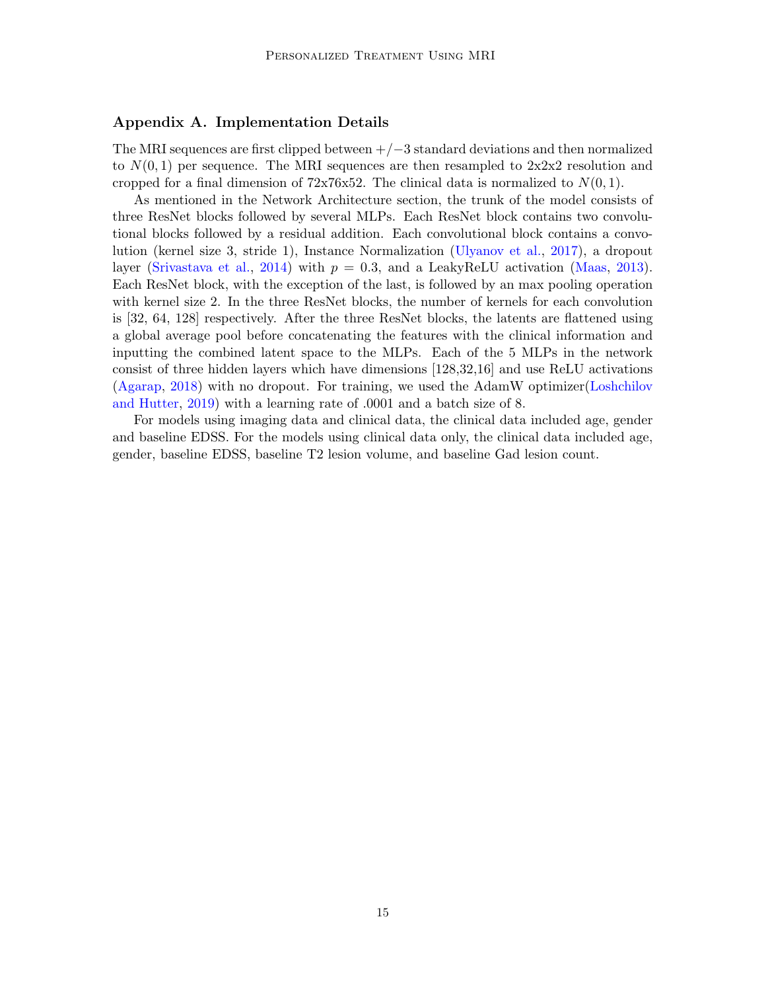## <span id="page-14-0"></span>Appendix A. Implementation Details

The MRI sequences are first clipped between  $+/-3$  standard deviations and then normalized to  $N(0, 1)$  per sequence. The MRI sequences are then resampled to  $2x2x2$  resolution and cropped for a final dimension of  $72x76x52$ . The clinical data is normalized to  $N(0, 1)$ .

As mentioned in the Network Architecture section, the trunk of the model consists of three ResNet blocks followed by several MLPs. Each ResNet block contains two convolutional blocks followed by a residual addition. Each convolutional block contains a convolution (kernel size 3, stride 1), Instance Normalization [\(Ulyanov et al.,](#page-12-7) [2017\)](#page-12-7), a dropout layer [\(Srivastava et al.,](#page-12-8) [2014\)](#page-12-8) with  $p = 0.3$ , and a LeakyReLU activation [\(Maas,](#page-11-10) [2013\)](#page-11-10). Each ResNet block, with the exception of the last, is followed by an max pooling operation with kernel size 2. In the three ResNet blocks, the number of kernels for each convolution is [32, 64, 128] respectively. After the three ResNet blocks, the latents are flattened using a global average pool before concatenating the features with the clinical information and inputting the combined latent space to the MLPs. Each of the 5 MLPs in the network consist of three hidden layers which have dimensions [128,32,16] and use ReLU activations [\(Agarap,](#page-8-4) [2018\)](#page-8-4) with no dropout. For training, we used the AdamW optimizer[\(Loshchilov](#page-10-10) [and Hutter,](#page-10-10) [2019\)](#page-10-10) with a learning rate of .0001 and a batch size of 8.

For models using imaging data and clinical data, the clinical data included age, gender and baseline EDSS. For the models using clinical data only, the clinical data included age, gender, baseline EDSS, baseline T2 lesion volume, and baseline Gad lesion count.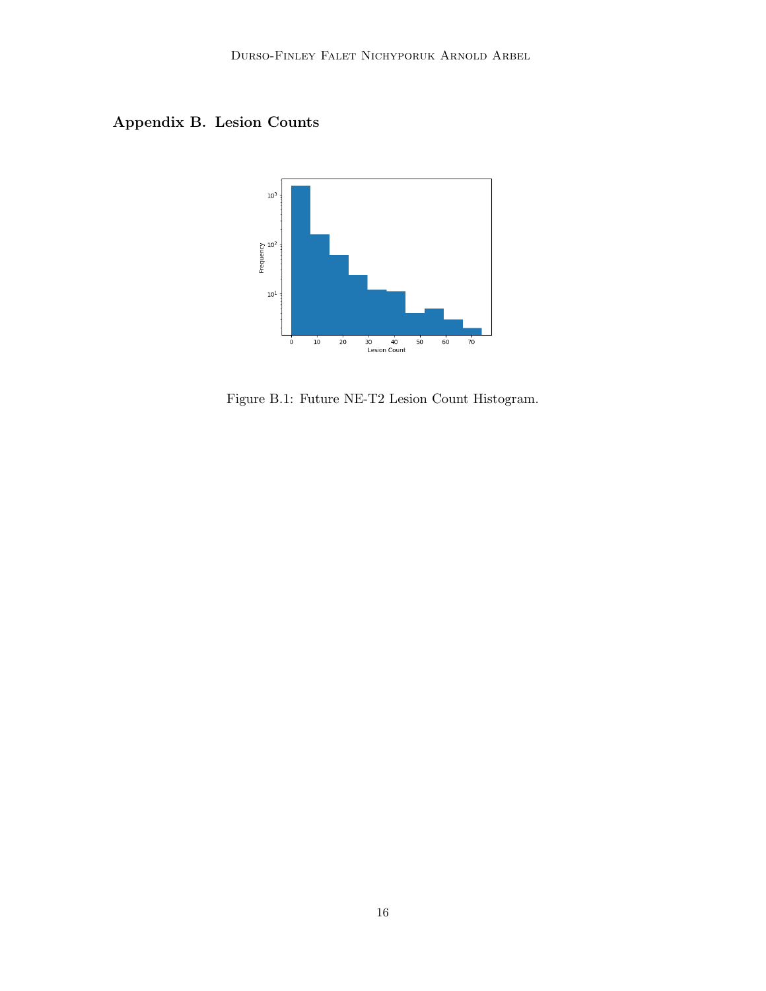Appendix B. Lesion Counts



Figure B.1: Future NE-T2 Lesion Count Histogram.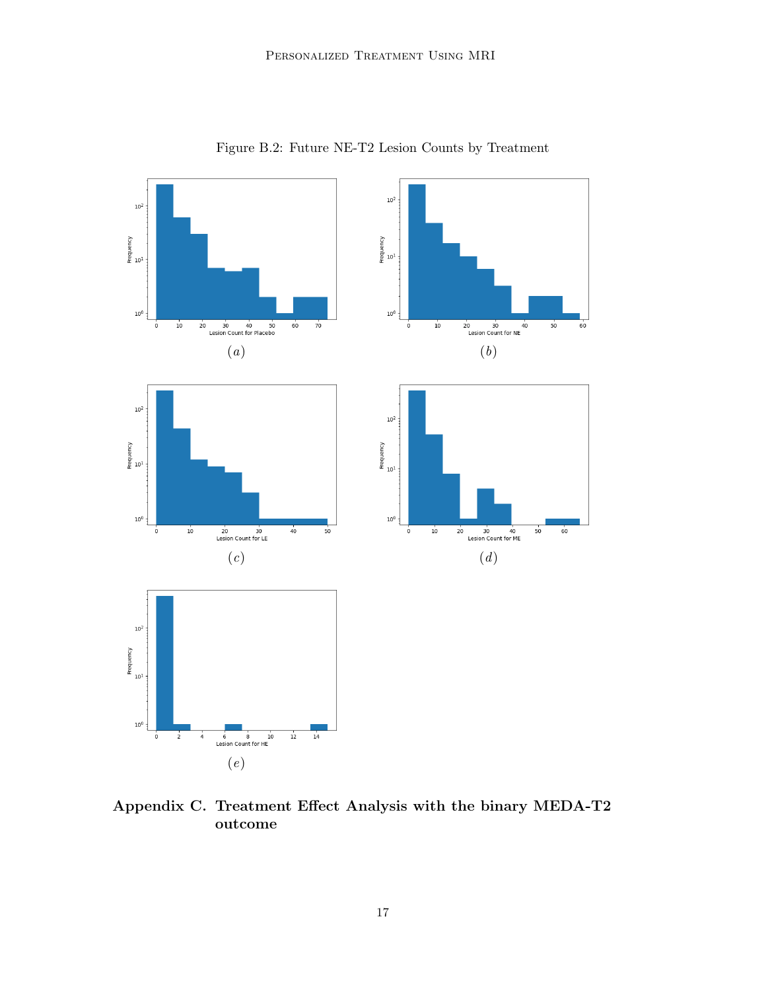

Figure B.2: Future NE-T2 Lesion Counts by Treatment

Appendix C. Treatment Effect Analysis with the binary MEDA-T2 outcome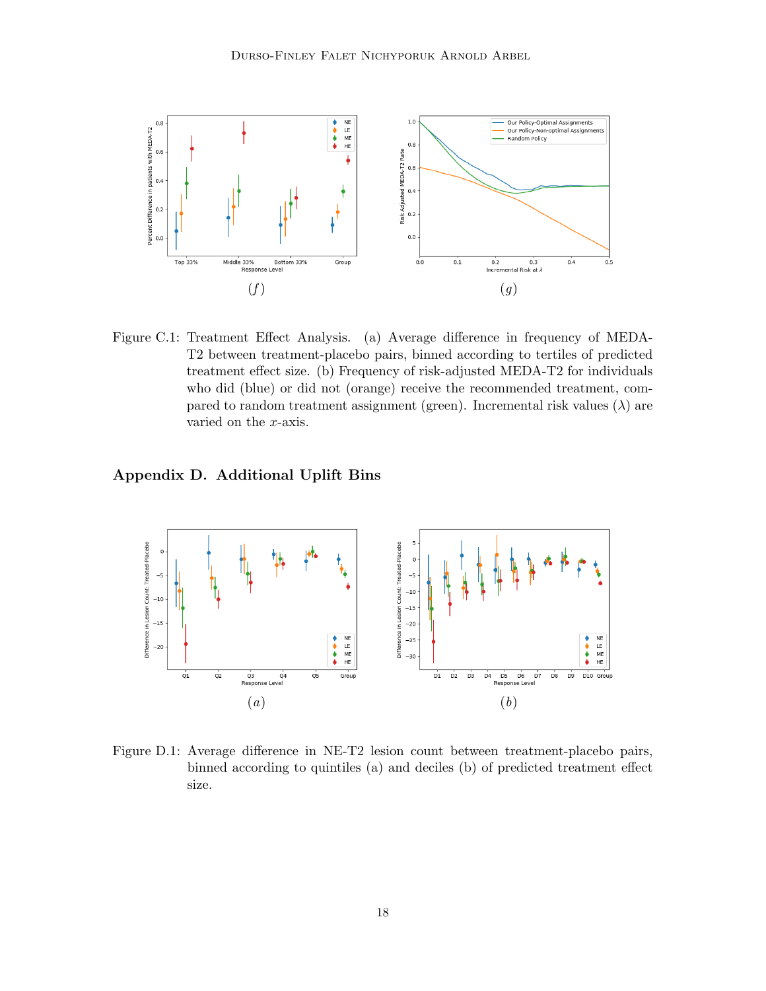

Figure C.1: Treatment Effect Analysis. (a) Average difference in frequency of MEDA-T2 between treatment-placebo pairs, binned according to tertiles of predicted treatment effect size. (b) Frequency of risk-adjusted MEDA-T2 for individuals who did (blue) or did not (orange) receive the recommended treatment, compared to random treatment assignment (green). Incremental risk values  $(\lambda)$  are varied on the x-axis.

<span id="page-17-0"></span>Appendix D. Additional Uplift Bins



Figure D.1: Average difference in NE-T2 lesion count between treatment-placebo pairs, binned according to quintiles (a) and deciles (b) of predicted treatment effect size.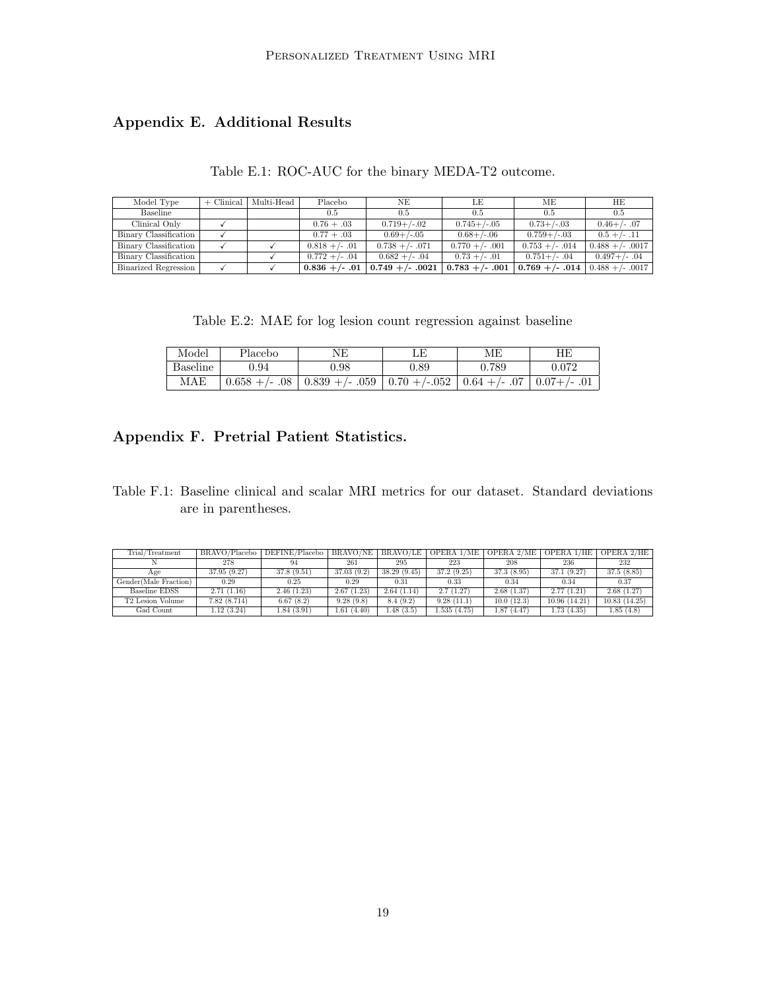## Appendix E. Additional Results

| Model Type            | $+$ Clinical   Multi-Head | Placebo           | NΕ                 | LE                | МE                | HE                 |
|-----------------------|---------------------------|-------------------|--------------------|-------------------|-------------------|--------------------|
| Baseline              |                           | 0.5               | 0.5                | 0.5               | 0.5               | 0.5                |
| Clinical Only         |                           | $0.76 + .03$      | $0.719+/-02$       | $0.745 + (-0.05)$ | $0.73 + (-0.03)$  | $0.46 + / - .07$   |
| Binary Classification |                           | $0.77 + .03$      | $0.69+/-0.5$       | $0.68 + (-0.06)$  | $0.759 + (-0.03)$ | $0.5 + (-11)$      |
| Binary Classification |                           | $0.818 + (-0.01)$ | $0.738 + (-.071)$  | $0.770 + (-.001$  | $0.753 + (-.014)$ | $0.488 + (-.0017)$ |
| Binary Classification |                           | $0.772 + (-.04)$  | $0.682 + (-.04)$   | $0.73 + (-0.01)$  | $0.751 + / - .04$ | $0.497 + (-0.04)$  |
| Binarized Regression  |                           | $0.836 + (-.01)$  | $0.749 + (-.0021)$ | $0.783 + (-.001)$ | $0.769 + (-.014)$ | $0.488 + (-.0017)$ |

Table E.2: MAE for log lesion count regression against baseline

| Model           | Placebo          | NΕ                                                               | ΠE   | МF              | ΗE                 |
|-----------------|------------------|------------------------------------------------------------------|------|-----------------|--------------------|
| <b>Baseline</b> | 0.94             | ).98                                                             | ).89 | 0.789           | 0.072              |
| MAE             | $0.658 + (-.08)$ | $\vert 0.839 + \rangle - .059 \vert 0.70 + \rangle - .052 \vert$ |      | $0.64 + (-.07)$ | $\mid$ 0.07+/- .01 |

## <span id="page-18-0"></span>Appendix F. Pretrial Patient Statistics.

Table F.1: Baseline clinical and scalar MRI metrics for our dataset. Standard deviations are in parentheses.

| Trial/Treatment              | BRAVO/Placebo | DEFINE/Placebo | BRAVO/NE   | BRAVO/LE    | OPERA 1/ME  | OPERA 2/ME | OPERA 1/HE   | OPERA 2/HE   |
|------------------------------|---------------|----------------|------------|-------------|-------------|------------|--------------|--------------|
|                              |               |                |            |             |             |            |              |              |
|                              | 278           | 94             | 261        | 295         | 223         | 208        | 236          | 232          |
| Age                          | 37.95 (9.27)  | 37.8(9.51)     | 37.03(9.2) | 38.29(9.45) | 37.2(9.25)  | 37.3(8.95) | 37.1(9.27)   | 37.5(8.85)   |
| Gender(Male Fraction)        | 0.29          | 0.25           | 0.29       | 0.31        | 0.33        | 0.34       | 0.34         | 0.37         |
| Baseline EDSS                | 2.71(1.16)    | 2.46(1.23)     | 2.67(1.23) | 2.64(1.14)  | 2.7(1.27)   | 2.68(1.37) | 2.77(1.21)   | 2.68(1.27)   |
| T <sub>2</sub> Lesion Volume | 7.82(8.714)   | 6.67(8.2)      | 9.28(9.8)  | 8.4(9.2)    | 9.28(11.1)  | 10.0(12.3) | 10.96(14.21) | 10.83(14.25) |
| Gad Count                    | 1.12(3.24)    | 1.84(3.91)     | 1.61(4.40) | 1.48(3.5)   | 1.535(4.75) | 1.87(4.47) | 1.73(4.35)   | 1.85(4.8)    |